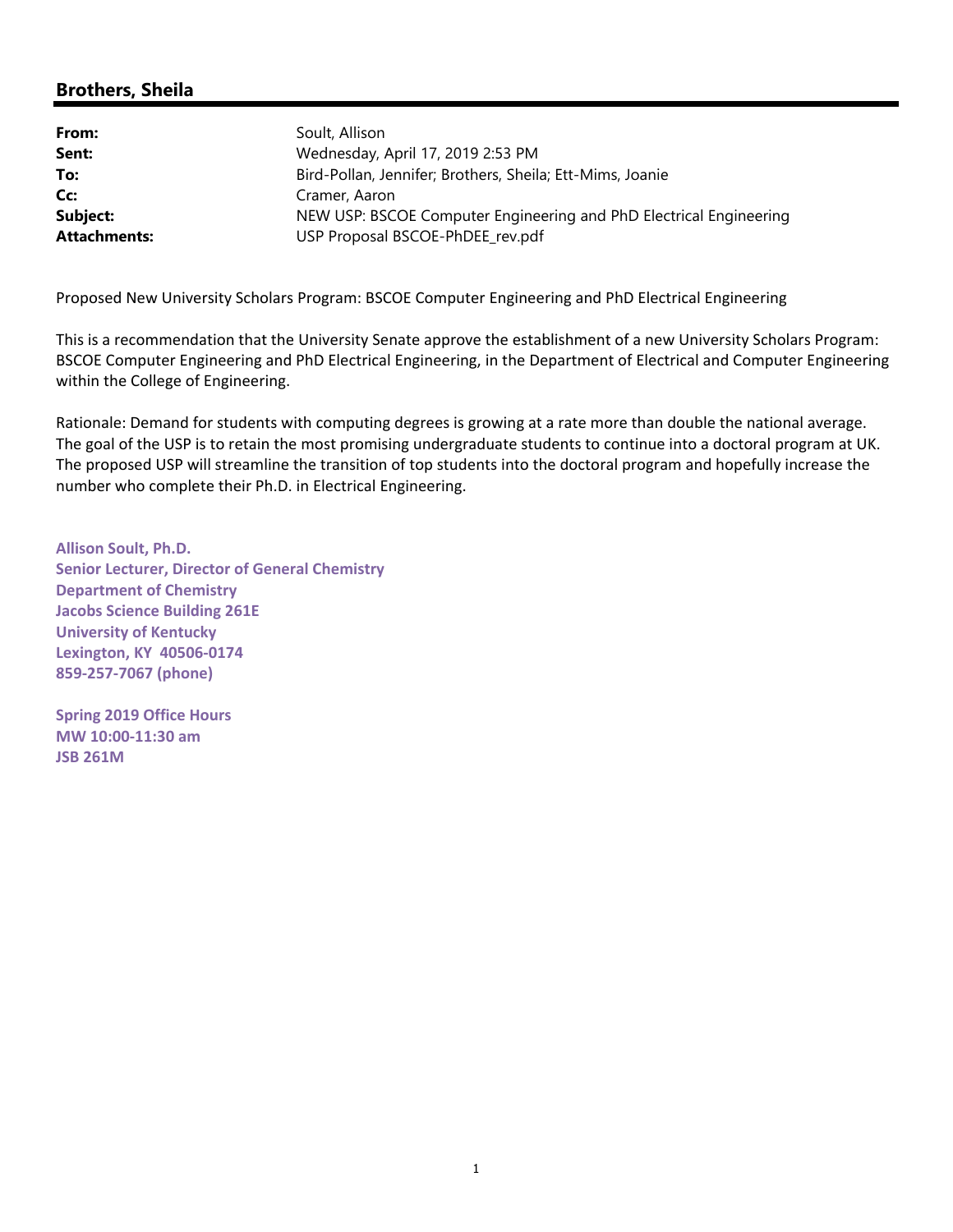# **Brothers, Sheila**

| From:               | Soult, Allison                                                     |
|---------------------|--------------------------------------------------------------------|
| Sent:               | Wednesday, April 17, 2019 2:53 PM                                  |
| To:                 | Bird-Pollan, Jennifer; Brothers, Sheila; Ett-Mims, Joanie          |
| Cc:                 | Cramer, Aaron                                                      |
| Subject:            | NEW USP: BSCOE Computer Engineering and PhD Electrical Engineering |
| <b>Attachments:</b> | USP Proposal BSCOE-PhDEE rev.pdf                                   |

Proposed New University Scholars Program: BSCOE Computer Engineering and PhD Electrical Engineering

This is a recommendation that the University Senate approve the establishment of a new University Scholars Program: BSCOE Computer Engineering and PhD Electrical Engineering, in the Department of Electrical and Computer Engineering within the College of Engineering.

Rationale: Demand for students with computing degrees is growing at a rate more than double the national average. The goal of the USP is to retain the most promising undergraduate students to continue into a doctoral program at UK. The proposed USP will streamline the transition of top students into the doctoral program and hopefully increase the number who complete their Ph.D. in Electrical Engineering.

**Allison Soult, Ph.D. Senior Lecturer, Director of General Chemistry Department of Chemistry Jacobs Science Building 261E University of Kentucky Lexington, KY 40506‐0174 859‐257‐7067 (phone)**

**Spring 2019 Office Hours MW 10:00‐11:30 am JSB 261M**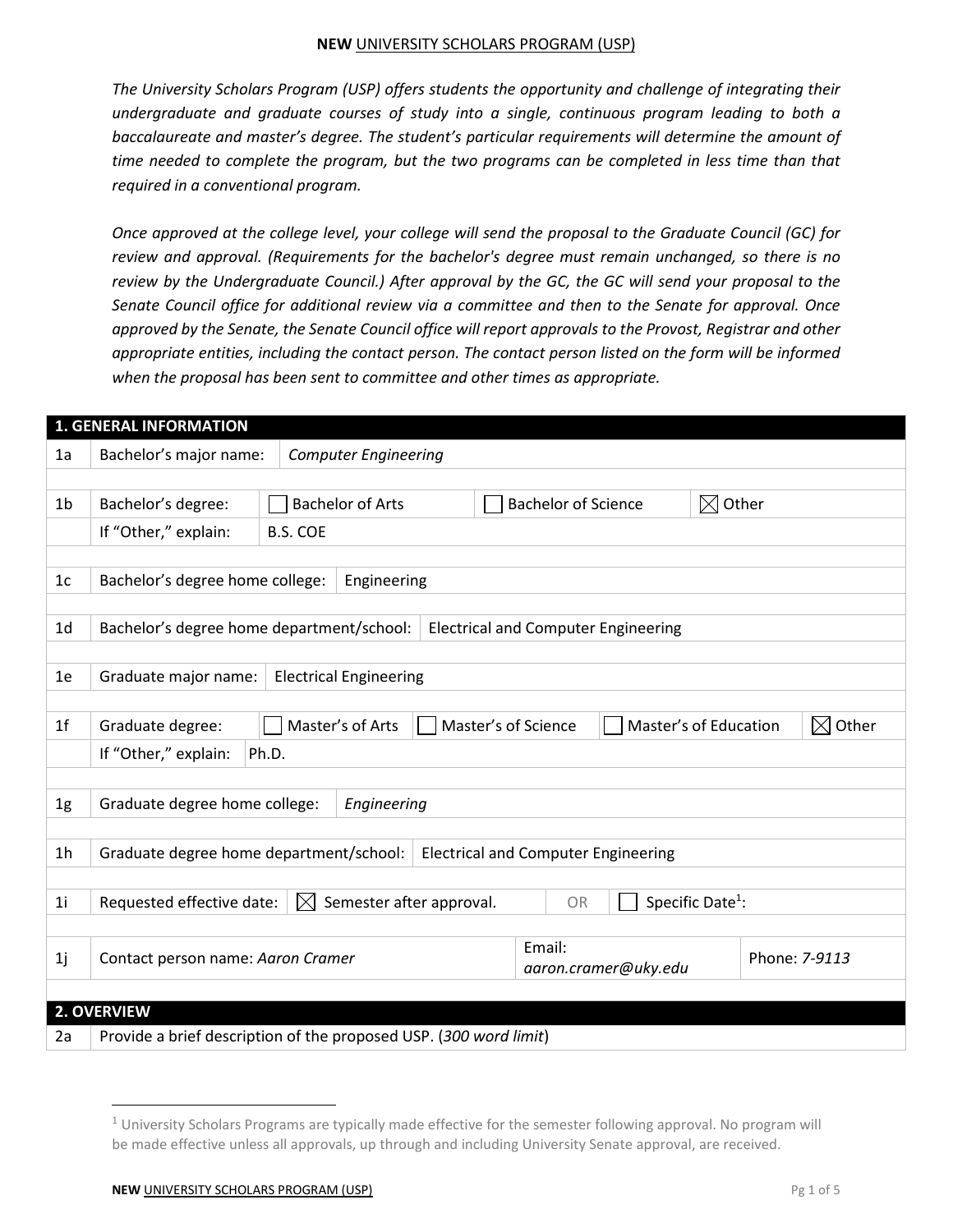*The University Scholars Program (USP) offers students the opportunity and challenge of integrating their undergraduate and graduate courses of study into a single, continuous program leading to both a baccalaureate and master's degree. The student's particular requirements will determine the amount of time needed to complete the program, but the two programs can be completed in less time than that required in a conventional program.*

*Once approved at the college level, your college will send the proposal to the Graduate Council (GC) for review and approval. (Requirements for the bachelor's degree must remain unchanged, so there is no review by the Undergraduate Council.) After approval by the GC, the GC will send your proposal to the Senate Council office for additional review via a committee and then to the Senate for approval. Once approved by the Senate, the Senate Council office will report approvals to the Provost, Registrar and other appropriate entities, including the contact person. The contact person listed on the form will be informed when the proposal has been sent to committee and other times as appropriate.*

|                | <b>1. GENERAL INFORMATION</b>                                                         |                 |                                                                            |  |  |                      |                                            |                              |               |                      |
|----------------|---------------------------------------------------------------------------------------|-----------------|----------------------------------------------------------------------------|--|--|----------------------|--------------------------------------------|------------------------------|---------------|----------------------|
| 1a             | Bachelor's major name:<br><b>Computer Engineering</b>                                 |                 |                                                                            |  |  |                      |                                            |                              |               |                      |
|                |                                                                                       |                 |                                                                            |  |  |                      |                                            |                              |               |                      |
| 1b             | Bachelor's degree:                                                                    |                 | $\boxtimes$ Other<br><b>Bachelor of Arts</b><br><b>Bachelor of Science</b> |  |  |                      |                                            |                              |               |                      |
|                | If "Other," explain:                                                                  | <b>B.S. COE</b> |                                                                            |  |  |                      |                                            |                              |               |                      |
|                |                                                                                       |                 |                                                                            |  |  |                      |                                            |                              |               |                      |
| 1 <sub>c</sub> | Bachelor's degree home college:                                                       |                 | Engineering                                                                |  |  |                      |                                            |                              |               |                      |
|                |                                                                                       |                 |                                                                            |  |  |                      |                                            |                              |               |                      |
| 1 <sub>d</sub> | Bachelor's degree home department/school:                                             |                 |                                                                            |  |  |                      | <b>Electrical and Computer Engineering</b> |                              |               |                      |
|                |                                                                                       |                 |                                                                            |  |  |                      |                                            |                              |               |                      |
| 1e             | Graduate major name:                                                                  |                 | <b>Electrical Engineering</b>                                              |  |  |                      |                                            |                              |               |                      |
|                |                                                                                       |                 |                                                                            |  |  |                      |                                            |                              |               |                      |
| 1 <sup>f</sup> | Graduate degree:                                                                      |                 | Master's of Arts                                                           |  |  | Master's of Science  | Master's of Education                      |                              |               | Other<br>$\boxtimes$ |
|                | If "Other," explain:<br>Ph.D.                                                         |                 |                                                                            |  |  |                      |                                            |                              |               |                      |
|                |                                                                                       |                 |                                                                            |  |  |                      |                                            |                              |               |                      |
| 1g             | Graduate degree home college:<br>Engineering                                          |                 |                                                                            |  |  |                      |                                            |                              |               |                      |
|                |                                                                                       |                 |                                                                            |  |  |                      |                                            |                              |               |                      |
| 1h             | Graduate degree home department/school:<br><b>Electrical and Computer Engineering</b> |                 |                                                                            |  |  |                      |                                            |                              |               |                      |
|                |                                                                                       |                 |                                                                            |  |  |                      |                                            |                              |               |                      |
| 1i             | Semester after approval.<br>Requested effective date:<br>$\bowtie$                    |                 |                                                                            |  |  | <b>OR</b>            |                                            | Specific Date <sup>1</sup> : |               |                      |
|                |                                                                                       |                 |                                                                            |  |  |                      |                                            |                              |               |                      |
| 1j             | Contact person name: Aaron Cramer                                                     |                 |                                                                            |  |  | Email:               |                                            |                              | Phone: 7-9113 |                      |
|                |                                                                                       |                 |                                                                            |  |  | aaron.cramer@uky.edu |                                            |                              |               |                      |
|                | 2. OVERVIEW                                                                           |                 |                                                                            |  |  |                      |                                            |                              |               |                      |
|                |                                                                                       |                 |                                                                            |  |  |                      |                                            |                              |               |                      |
| 2a             | Provide a brief description of the proposed USP. (300 word limit)                     |                 |                                                                            |  |  |                      |                                            |                              |               |                      |

 $1$  University Scholars Programs are typically made effective for the semester following approval. No program will be made effective unless all approvals, up through and including University Senate approval, are received.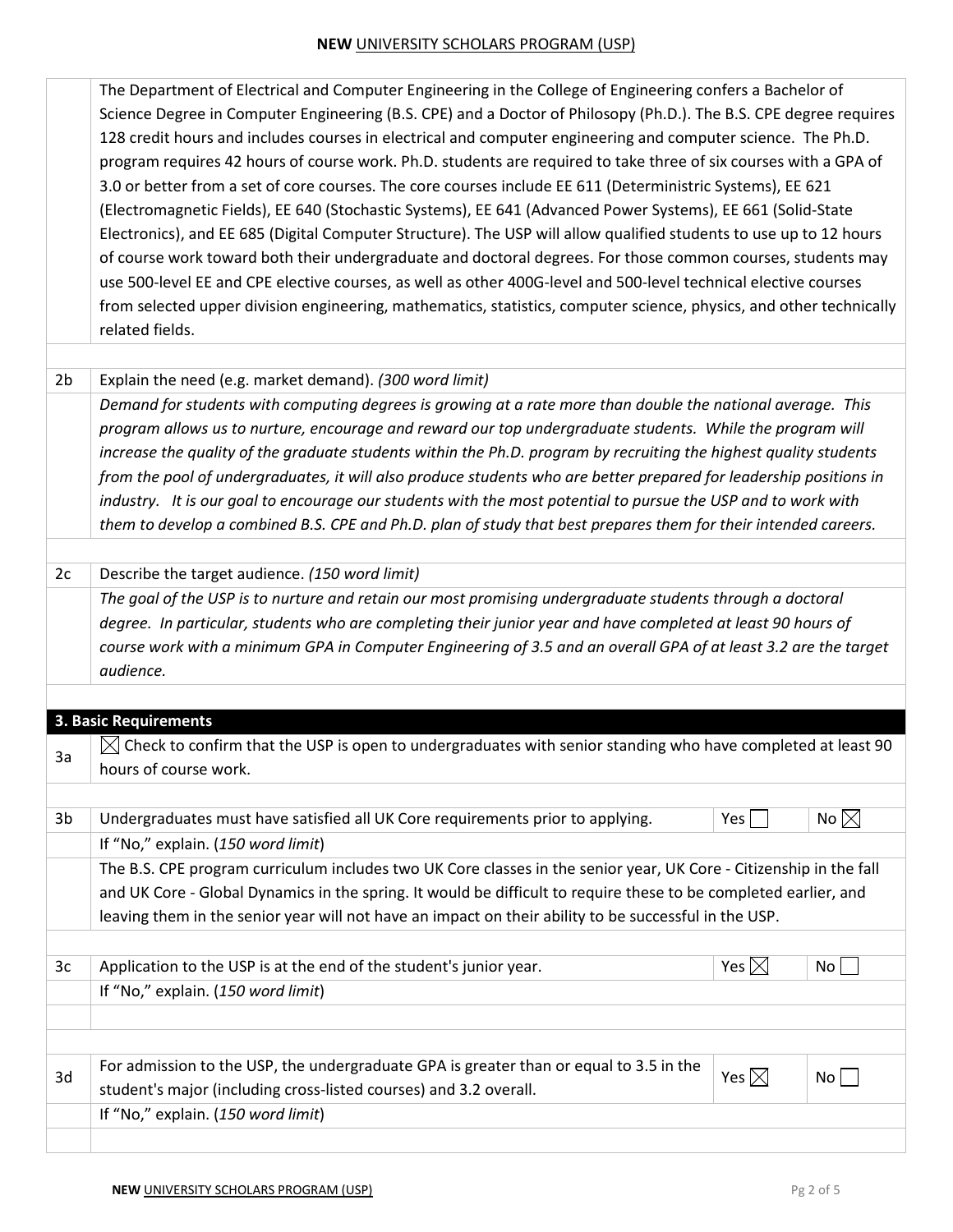|                | The Department of Electrical and Computer Engineering in the College of Engineering confers a Bachelor of           |                 |                |  |  |  |  |
|----------------|---------------------------------------------------------------------------------------------------------------------|-----------------|----------------|--|--|--|--|
|                | Science Degree in Computer Engineering (B.S. CPE) and a Doctor of Philosopy (Ph.D.). The B.S. CPE degree requires   |                 |                |  |  |  |  |
|                | 128 credit hours and includes courses in electrical and computer engineering and computer science. The Ph.D.        |                 |                |  |  |  |  |
|                | program requires 42 hours of course work. Ph.D. students are required to take three of six courses with a GPA of    |                 |                |  |  |  |  |
|                | 3.0 or better from a set of core courses. The core courses include EE 611 (Deterministric Systems), EE 621          |                 |                |  |  |  |  |
|                | (Electromagnetic Fields), EE 640 (Stochastic Systems), EE 641 (Advanced Power Systems), EE 661 (Solid-State         |                 |                |  |  |  |  |
|                | Electronics), and EE 685 (Digital Computer Structure). The USP will allow qualified students to use up to 12 hours  |                 |                |  |  |  |  |
|                |                                                                                                                     |                 |                |  |  |  |  |
|                | of course work toward both their undergraduate and doctoral degrees. For those common courses, students may         |                 |                |  |  |  |  |
|                | use 500-level EE and CPE elective courses, as well as other 400G-level and 500-level technical elective courses     |                 |                |  |  |  |  |
|                | from selected upper division engineering, mathematics, statistics, computer science, physics, and other technically |                 |                |  |  |  |  |
|                | related fields.                                                                                                     |                 |                |  |  |  |  |
| 2 <sub>b</sub> | Explain the need (e.g. market demand). (300 word limit)                                                             |                 |                |  |  |  |  |
|                | Demand for students with computing degrees is growing at a rate more than double the national average. This         |                 |                |  |  |  |  |
|                | program allows us to nurture, encourage and reward our top undergraduate students. While the program will           |                 |                |  |  |  |  |
|                | increase the quality of the graduate students within the Ph.D. program by recruiting the highest quality students   |                 |                |  |  |  |  |
|                | from the pool of undergraduates, it will also produce students who are better prepared for leadership positions in  |                 |                |  |  |  |  |
|                | industry. It is our goal to encourage our students with the most potential to pursue the USP and to work with       |                 |                |  |  |  |  |
|                | them to develop a combined B.S. CPE and Ph.D. plan of study that best prepares them for their intended careers.     |                 |                |  |  |  |  |
|                |                                                                                                                     |                 |                |  |  |  |  |
| 2c             | Describe the target audience. (150 word limit)                                                                      |                 |                |  |  |  |  |
|                | The goal of the USP is to nurture and retain our most promising undergraduate students through a doctoral           |                 |                |  |  |  |  |
|                | degree. In particular, students who are completing their junior year and have completed at least 90 hours of        |                 |                |  |  |  |  |
|                | course work with a minimum GPA in Computer Engineering of 3.5 and an overall GPA of at least 3.2 are the target     |                 |                |  |  |  |  |
|                | audience.                                                                                                           |                 |                |  |  |  |  |
|                |                                                                                                                     |                 |                |  |  |  |  |
|                | 3. Basic Requirements                                                                                               |                 |                |  |  |  |  |
| 3a             | Check to confirm that the USP is open to undergraduates with senior standing who have completed at least 90         |                 |                |  |  |  |  |
|                | hours of course work.                                                                                               |                 |                |  |  |  |  |
|                |                                                                                                                     |                 |                |  |  |  |  |
| 3b             | Undergraduates must have satisfied all UK Core requirements prior to applying.                                      | Yes             | No $\boxtimes$ |  |  |  |  |
|                | If "No," explain. (150 word limit)                                                                                  |                 |                |  |  |  |  |
|                | The B.S. CPE program curriculum includes two UK Core classes in the senior year, UK Core - Citizenship in the fall  |                 |                |  |  |  |  |
|                | and UK Core - Global Dynamics in the spring. It would be difficult to require these to be completed earlier, and    |                 |                |  |  |  |  |
|                | leaving them in the senior year will not have an impact on their ability to be successful in the USP.               |                 |                |  |  |  |  |
|                |                                                                                                                     |                 |                |  |  |  |  |
| 3c             | Application to the USP is at the end of the student's junior year.                                                  | Yes $\boxtimes$ | No             |  |  |  |  |
|                | If "No," explain. (150 word limit)                                                                                  |                 |                |  |  |  |  |
|                |                                                                                                                     |                 |                |  |  |  |  |
|                | For admission to the USP, the undergraduate GPA is greater than or equal to 3.5 in the                              |                 |                |  |  |  |  |
| 3d             | student's major (including cross-listed courses) and 3.2 overall.                                                   | Yes $\boxtimes$ | No             |  |  |  |  |
|                | If "No," explain. (150 word limit)                                                                                  |                 |                |  |  |  |  |
|                |                                                                                                                     |                 |                |  |  |  |  |
|                |                                                                                                                     |                 |                |  |  |  |  |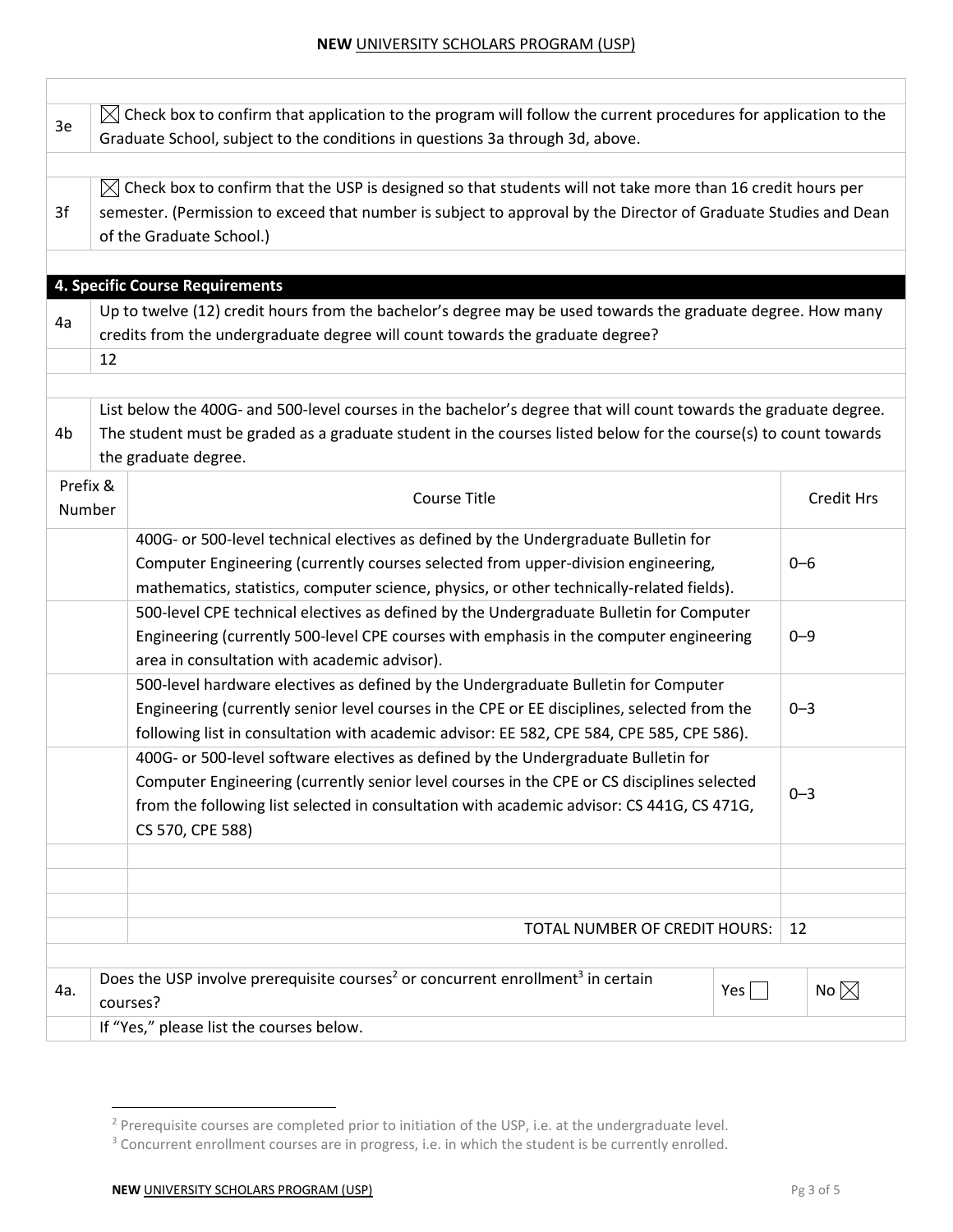| 3e                 |                                                                                                                                                                                                                                                                                                   | $\boxtimes$ Check box to confirm that application to the program will follow the current procedures for application to the<br>Graduate School, subject to the conditions in questions 3a through 3d, above.                                                           |  |         |                   |  |  |
|--------------------|---------------------------------------------------------------------------------------------------------------------------------------------------------------------------------------------------------------------------------------------------------------------------------------------------|-----------------------------------------------------------------------------------------------------------------------------------------------------------------------------------------------------------------------------------------------------------------------|--|---------|-------------------|--|--|
| 3f                 | $\bowtie$ Check box to confirm that the USP is designed so that students will not take more than 16 credit hours per<br>semester. (Permission to exceed that number is subject to approval by the Director of Graduate Studies and Dean<br>of the Graduate School.)                               |                                                                                                                                                                                                                                                                       |  |         |                   |  |  |
|                    |                                                                                                                                                                                                                                                                                                   | 4. Specific Course Requirements                                                                                                                                                                                                                                       |  |         |                   |  |  |
| 4a                 |                                                                                                                                                                                                                                                                                                   | Up to twelve (12) credit hours from the bachelor's degree may be used towards the graduate degree. How many<br>credits from the undergraduate degree will count towards the graduate degree?                                                                          |  |         |                   |  |  |
|                    | 12                                                                                                                                                                                                                                                                                                |                                                                                                                                                                                                                                                                       |  |         |                   |  |  |
| 4b                 |                                                                                                                                                                                                                                                                                                   | List below the 400G- and 500-level courses in the bachelor's degree that will count towards the graduate degree.<br>The student must be graded as a graduate student in the courses listed below for the course(s) to count towards<br>the graduate degree.           |  |         |                   |  |  |
| Prefix &<br>Number |                                                                                                                                                                                                                                                                                                   | Course Title                                                                                                                                                                                                                                                          |  |         | <b>Credit Hrs</b> |  |  |
|                    |                                                                                                                                                                                                                                                                                                   | 400G- or 500-level technical electives as defined by the Undergraduate Bulletin for<br>Computer Engineering (currently courses selected from upper-division engineering,<br>mathematics, statistics, computer science, physics, or other technically-related fields). |  | $0 - 6$ |                   |  |  |
|                    | 500-level CPE technical electives as defined by the Undergraduate Bulletin for Computer<br>Engineering (currently 500-level CPE courses with emphasis in the computer engineering<br>area in consultation with academic advisor).                                                                 |                                                                                                                                                                                                                                                                       |  | $0 - 9$ |                   |  |  |
|                    | 500-level hardware electives as defined by the Undergraduate Bulletin for Computer<br>Engineering (currently senior level courses in the CPE or EE disciplines, selected from the<br>following list in consultation with academic advisor: EE 582, CPE 584, CPE 585, CPE 586).                    |                                                                                                                                                                                                                                                                       |  | $0 - 3$ |                   |  |  |
|                    | 400G- or 500-level software electives as defined by the Undergraduate Bulletin for<br>Computer Engineering (currently senior level courses in the CPE or CS disciplines selected<br>from the following list selected in consultation with academic advisor: CS 441G, CS 471G,<br>CS 570, CPE 588) |                                                                                                                                                                                                                                                                       |  | $0 - 3$ |                   |  |  |
|                    |                                                                                                                                                                                                                                                                                                   |                                                                                                                                                                                                                                                                       |  |         |                   |  |  |
|                    | TOTAL NUMBER OF CREDIT HOURS:                                                                                                                                                                                                                                                                     |                                                                                                                                                                                                                                                                       |  |         |                   |  |  |
|                    |                                                                                                                                                                                                                                                                                                   |                                                                                                                                                                                                                                                                       |  | 12      |                   |  |  |
| 4a.                | Does the USP involve prerequisite courses <sup>2</sup> or concurrent enrollment <sup>3</sup> in certain<br>No $\boxtimes$<br>$Yes \mid \mid$<br>courses?                                                                                                                                          |                                                                                                                                                                                                                                                                       |  |         |                   |  |  |
|                    |                                                                                                                                                                                                                                                                                                   | If "Yes," please list the courses below.                                                                                                                                                                                                                              |  |         |                   |  |  |

<sup>&</sup>lt;sup>2</sup> Prerequisite courses are completed prior to initiation of the USP, i.e. at the undergraduate level.

<sup>&</sup>lt;sup>3</sup> Concurrent enrollment courses are in progress, i.e. in which the student is be currently enrolled.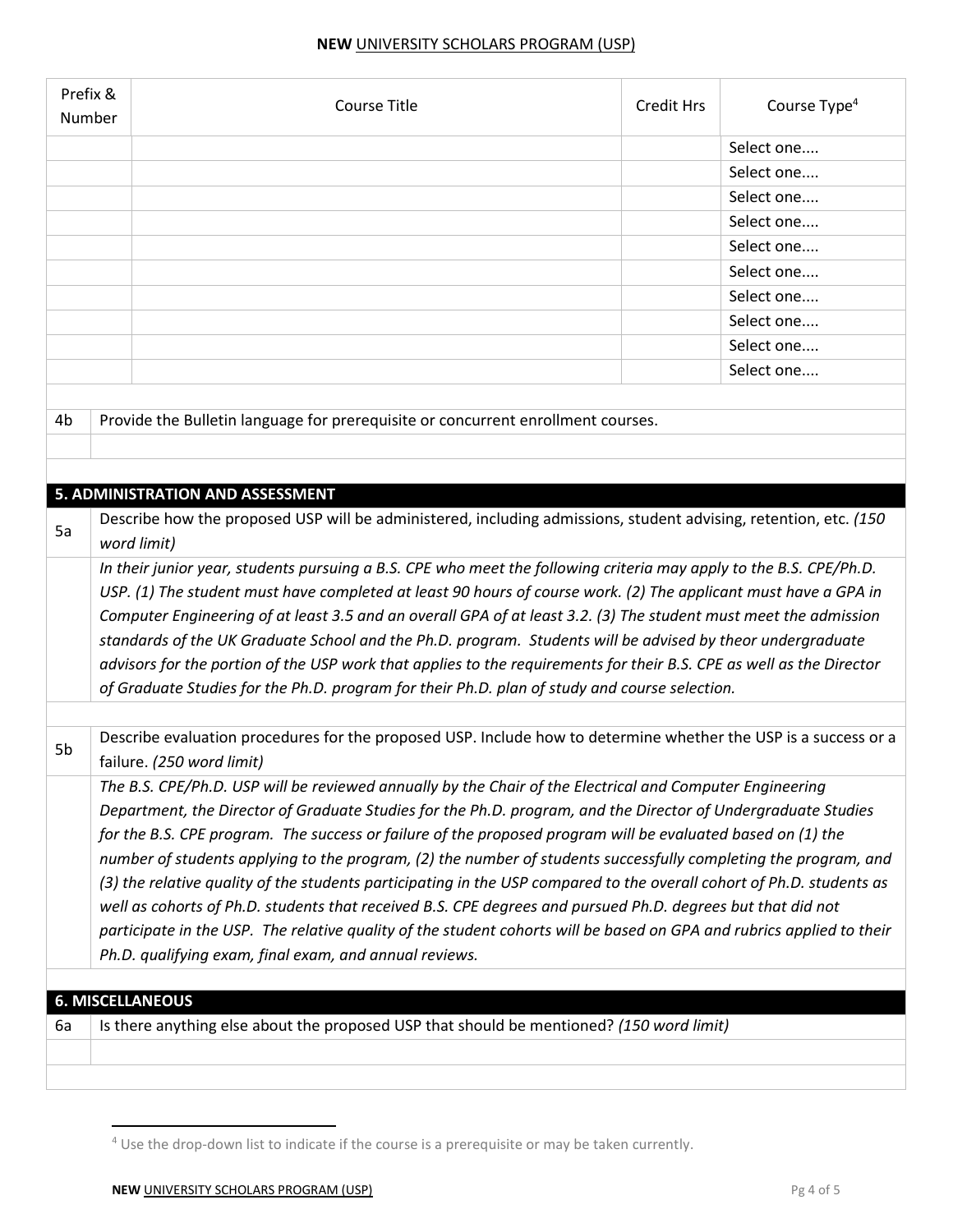| Prefix &<br>Number |                                                                                                                       | <b>Course Title</b>                                                                                                  | <b>Credit Hrs</b> | Course Type <sup>4</sup> |  |  |
|--------------------|-----------------------------------------------------------------------------------------------------------------------|----------------------------------------------------------------------------------------------------------------------|-------------------|--------------------------|--|--|
|                    |                                                                                                                       |                                                                                                                      |                   | Select one               |  |  |
|                    |                                                                                                                       |                                                                                                                      |                   | Select one               |  |  |
|                    |                                                                                                                       |                                                                                                                      |                   | Select one               |  |  |
|                    |                                                                                                                       |                                                                                                                      |                   | Select one               |  |  |
|                    |                                                                                                                       |                                                                                                                      |                   | Select one               |  |  |
|                    |                                                                                                                       |                                                                                                                      |                   | Select one               |  |  |
|                    |                                                                                                                       |                                                                                                                      |                   | Select one               |  |  |
|                    |                                                                                                                       |                                                                                                                      |                   | Select one               |  |  |
|                    |                                                                                                                       |                                                                                                                      |                   | Select one               |  |  |
|                    |                                                                                                                       |                                                                                                                      |                   | Select one               |  |  |
|                    |                                                                                                                       |                                                                                                                      |                   |                          |  |  |
| 4 <sub>b</sub>     |                                                                                                                       | Provide the Bulletin language for prerequisite or concurrent enrollment courses.                                     |                   |                          |  |  |
|                    |                                                                                                                       |                                                                                                                      |                   |                          |  |  |
|                    |                                                                                                                       |                                                                                                                      |                   |                          |  |  |
|                    |                                                                                                                       | 5. ADMINISTRATION AND ASSESSMENT                                                                                     |                   |                          |  |  |
|                    |                                                                                                                       | Describe how the proposed USP will be administered, including admissions, student advising, retention, etc. (150     |                   |                          |  |  |
| 5a                 |                                                                                                                       | word limit)                                                                                                          |                   |                          |  |  |
|                    |                                                                                                                       | In their junior year, students pursuing a B.S. CPE who meet the following criteria may apply to the B.S. CPE/Ph.D.   |                   |                          |  |  |
|                    | USP. (1) The student must have completed at least 90 hours of course work. (2) The applicant must have a GPA in       |                                                                                                                      |                   |                          |  |  |
|                    |                                                                                                                       | Computer Engineering of at least 3.5 and an overall GPA of at least 3.2. (3) The student must meet the admission     |                   |                          |  |  |
|                    | standards of the UK Graduate School and the Ph.D. program. Students will be advised by theor undergraduate            |                                                                                                                      |                   |                          |  |  |
|                    |                                                                                                                       | advisors for the portion of the USP work that applies to the requirements for their B.S. CPE as well as the Director |                   |                          |  |  |
|                    | of Graduate Studies for the Ph.D. program for their Ph.D. plan of study and course selection.                         |                                                                                                                      |                   |                          |  |  |
|                    |                                                                                                                       |                                                                                                                      |                   |                          |  |  |
|                    |                                                                                                                       | Describe evaluation procedures for the proposed USP. Include how to determine whether the USP is a success or a      |                   |                          |  |  |
| 5b                 |                                                                                                                       | failure. (250 word limit)                                                                                            |                   |                          |  |  |
|                    |                                                                                                                       | The B.S. CPE/Ph.D. USP will be reviewed annually by the Chair of the Electrical and Computer Engineering             |                   |                          |  |  |
|                    | Department, the Director of Graduate Studies for the Ph.D. program, and the Director of Undergraduate Studies         |                                                                                                                      |                   |                          |  |  |
|                    |                                                                                                                       | for the B.S. CPE program. The success or failure of the proposed program will be evaluated based on (1) the          |                   |                          |  |  |
|                    | number of students applying to the program, (2) the number of students successfully completing the program, and       |                                                                                                                      |                   |                          |  |  |
|                    | (3) the relative quality of the students participating in the USP compared to the overall cohort of Ph.D. students as |                                                                                                                      |                   |                          |  |  |
|                    | well as cohorts of Ph.D. students that received B.S. CPE degrees and pursued Ph.D. degrees but that did not           |                                                                                                                      |                   |                          |  |  |
|                    | participate in the USP. The relative quality of the student cohorts will be based on GPA and rubrics applied to their |                                                                                                                      |                   |                          |  |  |
|                    | Ph.D. qualifying exam, final exam, and annual reviews.                                                                |                                                                                                                      |                   |                          |  |  |
|                    |                                                                                                                       |                                                                                                                      |                   |                          |  |  |
|                    |                                                                                                                       | <b>6. MISCELLANEOUS</b>                                                                                              |                   |                          |  |  |
| 6а                 |                                                                                                                       | Is there anything else about the proposed USP that should be mentioned? (150 word limit)                             |                   |                          |  |  |
|                    |                                                                                                                       |                                                                                                                      |                   |                          |  |  |

<sup>&</sup>lt;sup>4</sup> Use the drop-down list to indicate if the course is a prerequisite or may be taken currently.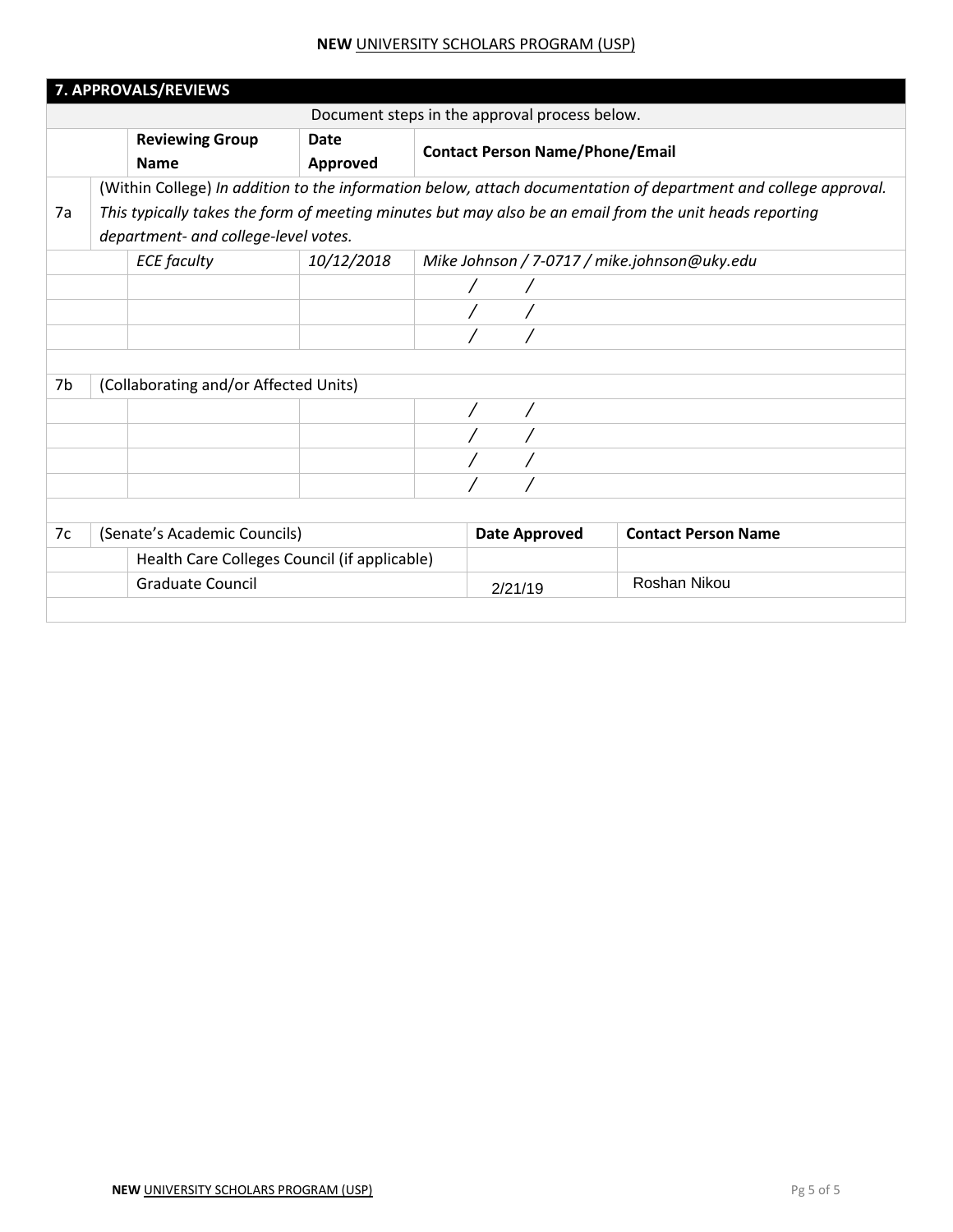|                                    | 7. APPROVALS/REVIEWS                                                                                                                                                                                                                                               |                                       |                  |                                        |                                               |                                              |  |  |
|------------------------------------|--------------------------------------------------------------------------------------------------------------------------------------------------------------------------------------------------------------------------------------------------------------------|---------------------------------------|------------------|----------------------------------------|-----------------------------------------------|----------------------------------------------|--|--|
|                                    |                                                                                                                                                                                                                                                                    |                                       |                  |                                        | Document steps in the approval process below. |                                              |  |  |
|                                    |                                                                                                                                                                                                                                                                    | <b>Reviewing Group</b><br><b>Name</b> | Date<br>Approved | <b>Contact Person Name/Phone/Email</b> |                                               |                                              |  |  |
| 7a                                 | (Within College) In addition to the information below, attach documentation of department and college approval.<br>This typically takes the form of meeting minutes but may also be an email from the unit heads reporting<br>department- and college-level votes. |                                       |                  |                                        |                                               |                                              |  |  |
|                                    |                                                                                                                                                                                                                                                                    | <b>ECE</b> faculty                    | 10/12/2018       |                                        |                                               | Mike Johnson / 7-0717 / mike.johnson@uky.edu |  |  |
|                                    |                                                                                                                                                                                                                                                                    |                                       |                  |                                        |                                               |                                              |  |  |
|                                    |                                                                                                                                                                                                                                                                    |                                       |                  |                                        |                                               |                                              |  |  |
|                                    |                                                                                                                                                                                                                                                                    |                                       |                  |                                        |                                               |                                              |  |  |
| 7b                                 |                                                                                                                                                                                                                                                                    | (Collaborating and/or Affected Units) |                  |                                        |                                               |                                              |  |  |
|                                    |                                                                                                                                                                                                                                                                    |                                       |                  |                                        |                                               |                                              |  |  |
|                                    |                                                                                                                                                                                                                                                                    |                                       |                  |                                        |                                               |                                              |  |  |
|                                    |                                                                                                                                                                                                                                                                    |                                       |                  |                                        |                                               |                                              |  |  |
|                                    |                                                                                                                                                                                                                                                                    |                                       |                  |                                        |                                               |                                              |  |  |
|                                    |                                                                                                                                                                                                                                                                    |                                       |                  |                                        |                                               |                                              |  |  |
| 7c<br>(Senate's Academic Councils) |                                                                                                                                                                                                                                                                    |                                       |                  | <b>Date Approved</b>                   | <b>Contact Person Name</b>                    |                                              |  |  |
|                                    | Health Care Colleges Council (if applicable)                                                                                                                                                                                                                       |                                       |                  |                                        |                                               |                                              |  |  |
|                                    | <b>Graduate Council</b>                                                                                                                                                                                                                                            |                                       |                  |                                        | 2/21/19                                       | Roshan Nikou                                 |  |  |
|                                    |                                                                                                                                                                                                                                                                    |                                       |                  |                                        |                                               |                                              |  |  |